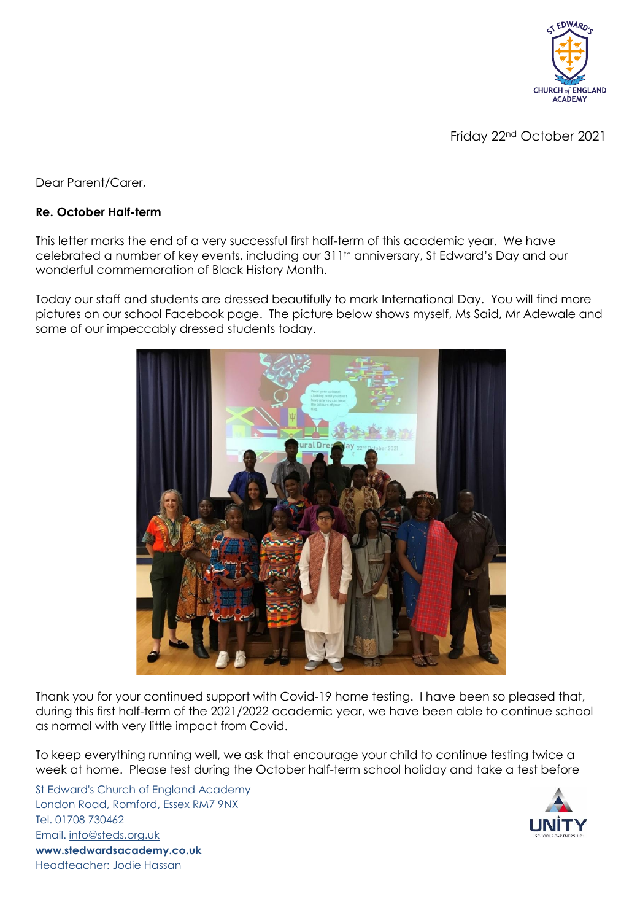

Friday 22nd October 2021

Dear Parent/Carer,

## **Re. October Half-term**

This letter marks the end of a very successful first half-term of this academic year. We have celebrated a number of key events, including our 311<sup>th</sup> anniversary, St Edward's Day and our wonderful commemoration of Black History Month.

Today our staff and students are dressed beautifully to mark International Day. You will find more pictures on our school Facebook page. The picture below shows myself, Ms Said, Mr Adewale and some of our impeccably dressed students today.



Thank you for your continued support with Covid-19 home testing. I have been so pleased that, during this first half-term of the 2021/2022 academic year, we have been able to continue school as normal with very little impact from Covid.

To keep everything running well, we ask that encourage your child to continue testing twice a week at home. Please test during the October half-term school holiday and take a test before

St Edward's Church of England Academy London Road, Romford, Essex RM7 9NX Tel. 01708 730462 Email. [info@steds.org.uk](mailto:info@steds.org.uk) **www.stedwardsacademy.co.uk** Headteacher: Jodie Hassan